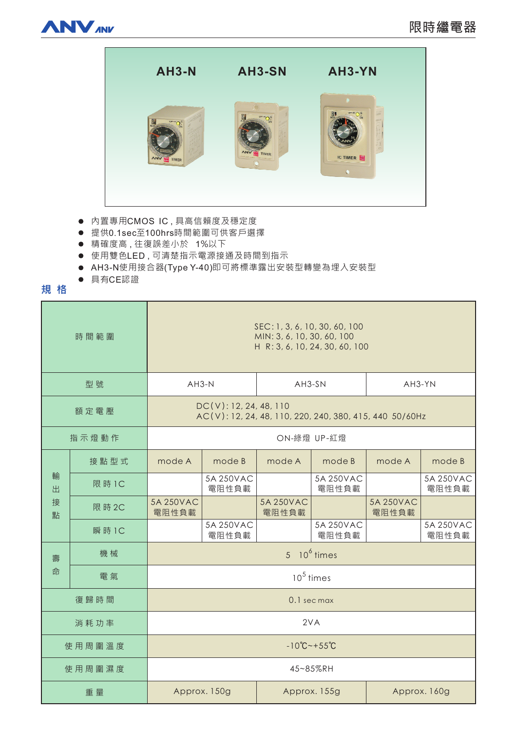



- 内置專用CMOS IC,具高信賴度及穩定度
- 提供0.1sec至100hrs時間範圍可供客戶選擇
- 精確度高,往復誤差小於 1%以下
- 使用雙色LED,可清楚指示電源接通及時間到指示
- AH3-N使用接合器(Type Y-40)即可將標準露出安裝型轉變為埋入安裝型
- 具有CE認證

# **規格**

| 時間範圍             |        | SEC: 1, 3, 6, 10, 30, 60, 100<br>MIN: 3, 6, 10, 30, 60, 100<br>H R: 3, 6, 10, 24, 30, 60, 100 |                    |                    |                    |                    |                    |
|------------------|--------|-----------------------------------------------------------------------------------------------|--------------------|--------------------|--------------------|--------------------|--------------------|
| 型號               |        | $AH3-N$                                                                                       |                    | AH3-SN             |                    | AH3-YN             |                    |
| 額定電壓             |        | DC(V): 12, 24, 48, 110<br>AC(V): 12, 24, 48, 110, 220, 240, 380, 415, 440 50/60Hz             |                    |                    |                    |                    |                    |
| 指示燈動作            |        | ON-綠燈 UP-紅燈                                                                                   |                    |                    |                    |                    |                    |
| 輸<br>出<br>接<br>點 | 接點型式   | mode A                                                                                        | mode B             | mode A             | mode B             | mode A             | mode B             |
|                  | 限 時 1C |                                                                                               | 5A 250VAC<br>電阻性負載 |                    | 5A 250VAC<br>電阻性負載 |                    | 5A 250VAC<br>電阻性負載 |
|                  | 限 時 2C | 5A 250VAC<br>電阻性負載                                                                            |                    | 5A 250VAC<br>電阻性負載 |                    | 5A 250VAC<br>電阻性負載 |                    |
|                  | 瞬 時 1C |                                                                                               | 5A 250VAC<br>電阻性負載 |                    | 5A 250VAC<br>電阻性負載 |                    | 5A 250VAC<br>電阻性負載 |
| 壽<br>命           | 機械     | $5\quad 10^6$ times                                                                           |                    |                    |                    |                    |                    |
|                  | 電氣     | $105$ times                                                                                   |                    |                    |                    |                    |                    |
| 復歸時間             |        | 0.1 sec max                                                                                   |                    |                    |                    |                    |                    |
| 消耗功率             |        | 2VA                                                                                           |                    |                    |                    |                    |                    |
| 使用周圍溫度           |        | $-10^{\circ}$ C ~ + 55 $^{\circ}$ C                                                           |                    |                    |                    |                    |                    |
| 使用周圍濕度           |        | 45~85%RH                                                                                      |                    |                    |                    |                    |                    |
| 重量               |        | Approx. 150g                                                                                  |                    | Approx. 155g       |                    | Approx. 160g       |                    |